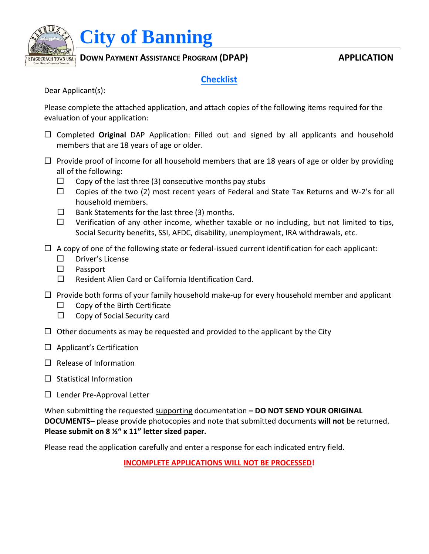

 $\frac{\text{STAGECOACH TOWN USA}}{\text{OPTATE}}$  DOWN PAYMENT ASSISTANCE PROGRAM (DPAP)  $\text{OPTATE}$ 

# **Checklist**

Dear Applicant(s):

Please complete the attached application, and attach copies of the following items required for the evaluation of your application:

- Completed **Original** DAP Application: Filled out and signed by all applicants and household members that are 18 years of age or older.
- $\Box$  Provide proof of income for all household members that are 18 years of age or older by providing all of the following:
	- $\Box$  Copy of the last three (3) consecutive months pay stubs
	- $\Box$  Copies of the two (2) most recent years of Federal and State Tax Returns and W-2's for all household members.
	- $\square$  Bank Statements for the last three (3) months.
	- $\Box$  Verification of any other income, whether taxable or no including, but not limited to tips, Social Security benefits, SSI, AFDC, disability, unemployment, IRA withdrawals, etc.
- $\Box$  A copy of one of the following state or federal-issued current identification for each applicant:
	- □ Driver's License
	- $\square$  Passport
	- $\square$  Resident Alien Card or California Identification Card.
- $\Box$  Provide both forms of your family household make-up for every household member and applicant
	- $\Box$  Copy of the Birth Certificate
	- $\Box$  Copy of Social Security card
- $\Box$  Other documents as may be requested and provided to the applicant by the City
- $\Box$  Applicant's Certification
- $\Box$  Release of Information
- $\Box$  Statistical Information
- $\Box$  Lender Pre-Approval Letter

When submitting the requested supporting documentation **– DO NOT SEND YOUR ORIGINAL DOCUMENTS–** please provide photocopies and note that submitted documents **will not** be returned. **Please submit on 8 ½" x 11" letter sized paper.**

Please read the application carefully and enter a response for each indicated entry field.

**INCOMPLETE APPLICATIONS WILL NOT BE PROCESSED!**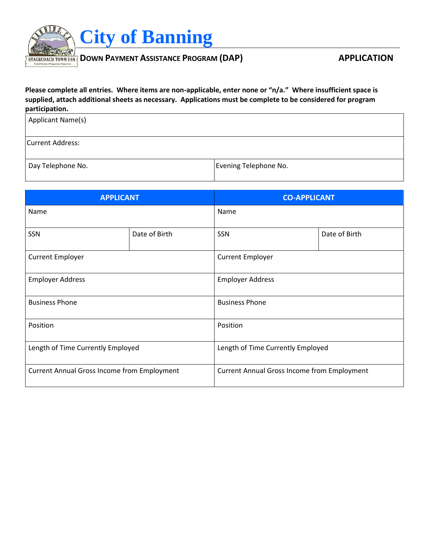

**Please complete all entries. Where items are non-applicable, enter none or "n/a." Where insufficient space is supplied, attach additional sheets as necessary. Applications must be complete to be considered for program participation.**

| Applicant Name(s)       |                       |
|-------------------------|-----------------------|
| <b>Current Address:</b> |                       |
| Day Telephone No.       | Evening Telephone No. |

| <b>APPLICANT</b>                                   |               | <b>CO-APPLICANT</b>                                |                         |  |
|----------------------------------------------------|---------------|----------------------------------------------------|-------------------------|--|
| Name                                               |               | Name                                               |                         |  |
| SSN                                                | Date of Birth | SSN                                                | Date of Birth           |  |
| <b>Current Employer</b>                            |               |                                                    | <b>Current Employer</b> |  |
| <b>Employer Address</b>                            |               |                                                    | <b>Employer Address</b> |  |
| <b>Business Phone</b>                              |               | <b>Business Phone</b>                              |                         |  |
| Position                                           |               | Position                                           |                         |  |
| Length of Time Currently Employed                  |               | Length of Time Currently Employed                  |                         |  |
| <b>Current Annual Gross Income from Employment</b> |               | <b>Current Annual Gross Income from Employment</b> |                         |  |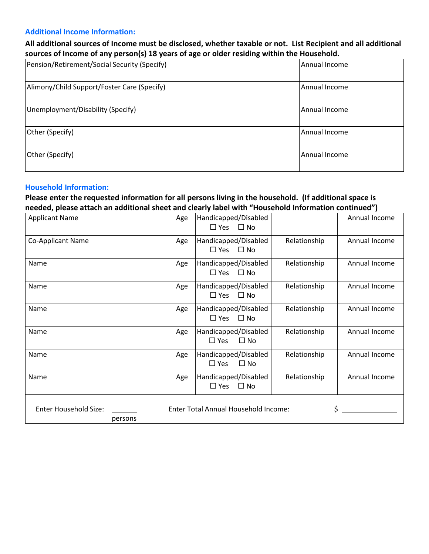### **Additional Income Information:**

# **All additional sources of Income must be disclosed, whether taxable or not. List Recipient and all additional sources of Income of any person(s) 18 years of age or older residing within the Household.**

| Pension/Retirement/Social Security (Specify) | Annual Income |
|----------------------------------------------|---------------|
| Alimony/Child Support/Foster Care (Specify)  | Annual Income |
| Unemployment/Disability (Specify)            | Annual Income |
| Other (Specify)                              | Annual Income |
| Other (Specify)                              | Annual Income |

### **Household Information:**

# **Please enter the requested information for all persons living in the household. (If additional space is needed, please attach an additional sheet and clearly label with "Household Information continued")**

| <b>Applicant Name</b>                   | Age                                  | Handicapped/Disabled<br>$\Box$ Yes $\Box$ No          |              | Annual Income |
|-----------------------------------------|--------------------------------------|-------------------------------------------------------|--------------|---------------|
| <b>Co-Applicant Name</b>                | Age                                  | Handicapped/Disabled<br>$\Box$ Yes $\Box$ No          | Relationship | Annual Income |
| Name                                    | Age                                  | Handicapped/Disabled<br>$\Box$ Yes $\Box$ No          | Relationship | Annual Income |
| Name                                    | Age                                  | Handicapped/Disabled<br>$\Box$ Yes $\Box$ No          | Relationship | Annual Income |
| Name                                    | Age                                  | Handicapped/Disabled<br>$\Box$ Yes $\Box$ No          | Relationship | Annual Income |
| Name                                    | Age                                  | Handicapped/Disabled<br>$\Box$ Yes $\Box$ No          | Relationship | Annual Income |
| Name                                    | Age                                  | Handicapped/Disabled<br>$\square$ Yes<br>$\square$ No | Relationship | Annual Income |
| Name                                    | Age                                  | Handicapped/Disabled<br>$\Box$ Yes $\Box$ No          | Relationship | Annual Income |
| <b>Enter Household Size:</b><br>persons | Enter Total Annual Household Income: |                                                       |              |               |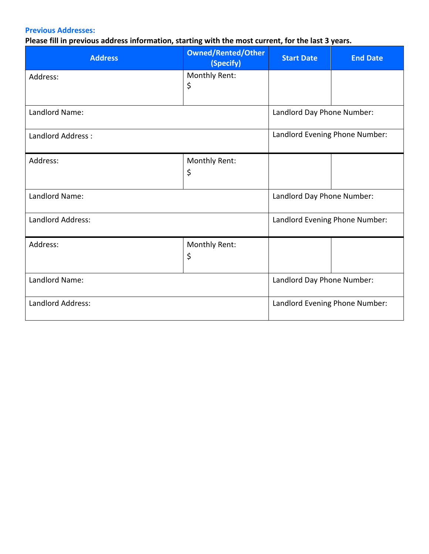# **Previous Addresses:**

# **Please fill in previous address information, starting with the most current, for the last 3 years.**

| <b>Address</b>    | <b>Owned/Rented/Other</b><br>(Specify) | <b>Start Date</b>              | <b>End Date</b> |
|-------------------|----------------------------------------|--------------------------------|-----------------|
| Address:          | Monthly Rent:<br>\$                    |                                |                 |
| Landlord Name:    |                                        | Landlord Day Phone Number:     |                 |
| Landlord Address: |                                        | Landlord Evening Phone Number: |                 |
| Address:          | Monthly Rent:<br>\$                    |                                |                 |
| Landlord Name:    |                                        | Landlord Day Phone Number:     |                 |
| Landlord Address: |                                        | Landlord Evening Phone Number: |                 |
| Address:          | Monthly Rent:<br>\$                    |                                |                 |
| Landlord Name:    |                                        | Landlord Day Phone Number:     |                 |
| Landlord Address: |                                        | Landlord Evening Phone Number: |                 |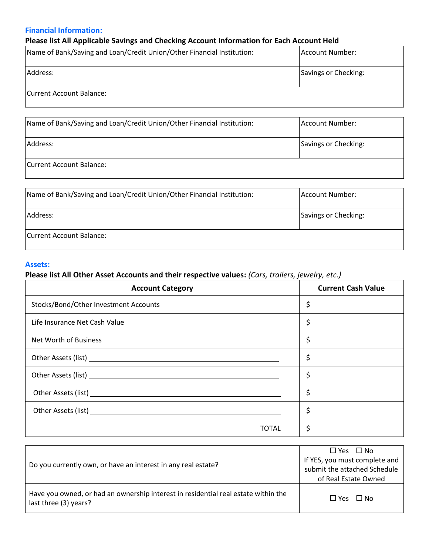### **Financial Information:**

# **Please list All Applicable Savings and Checking Account Information for Each Account Held**

| Name of Bank/Saving and Loan/Credit Union/Other Financial Institution: | Account Number:      |
|------------------------------------------------------------------------|----------------------|
| Address:                                                               | Savings or Checking: |
| <b>Current Account Balance:</b>                                        |                      |

| Name of Bank/Saving and Loan/Credit Union/Other Financial Institution: | Account Number:      |
|------------------------------------------------------------------------|----------------------|
| Address:                                                               | Savings or Checking: |
| Current Account Balance:                                               |                      |

| Name of Bank/Saving and Loan/Credit Union/Other Financial Institution: | Account Number:      |
|------------------------------------------------------------------------|----------------------|
| Address:                                                               | Savings or Checking: |
| Current Account Balance:                                               |                      |

### **Assets:**

# **Please list All Other Asset Accounts and their respective values:** *(Cars, trailers, jewelry, etc.)*

| <b>Account Category</b>               | <b>Current Cash Value</b> |
|---------------------------------------|---------------------------|
| Stocks/Bond/Other Investment Accounts | \$                        |
| Life Insurance Net Cash Value         | \$                        |
| Net Worth of Business                 | \$                        |
|                                       | \$                        |
|                                       | \$                        |
|                                       | \$                        |
|                                       | \$                        |
| TOTAL                                 |                           |

| Do you currently own, or have an interest in any real estate?                                               | $\Box$ Yes $\Box$ No<br>If YES, you must complete and<br>submit the attached Schedule |
|-------------------------------------------------------------------------------------------------------------|---------------------------------------------------------------------------------------|
|                                                                                                             | of Real Estate Owned                                                                  |
| Have you owned, or had an ownership interest in residential real estate within the<br>last three (3) years? | $\Box$ Yes $\Box$ No                                                                  |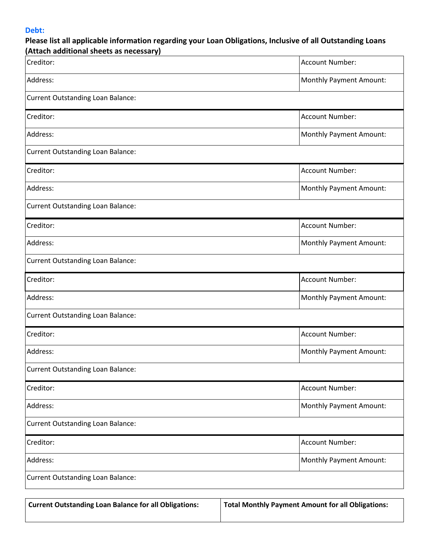### **Debt:**

| Creditor:                                | Account Number:                |
|------------------------------------------|--------------------------------|
| Address:                                 | <b>Monthly Payment Amount:</b> |
| <b>Current Outstanding Loan Balance:</b> |                                |
| Creditor:                                | Account Number:                |
| Address:                                 | <b>Monthly Payment Amount:</b> |
| <b>Current Outstanding Loan Balance:</b> |                                |
| Creditor:                                | Account Number:                |
| Address:                                 | <b>Monthly Payment Amount:</b> |
| <b>Current Outstanding Loan Balance:</b> |                                |
| Creditor:                                | Account Number:                |
| Address:                                 | Monthly Payment Amount:        |
| <b>Current Outstanding Loan Balance:</b> |                                |
| Creditor:                                | Account Number:                |
| Address:                                 | <b>Monthly Payment Amount:</b> |
| <b>Current Outstanding Loan Balance:</b> |                                |
| Creditor:                                | Account Number:                |
| Address:                                 | <b>Monthly Payment Amount:</b> |
| <b>Current Outstanding Loan Balance:</b> |                                |
| Creditor:                                | Account Number:                |
| Address:                                 | Monthly Payment Amount:        |
| <b>Current Outstanding Loan Balance:</b> |                                |
| Creditor:                                | Account Number:                |
| Address:                                 | <b>Monthly Payment Amount:</b> |
| <b>Current Outstanding Loan Balance:</b> |                                |

| Current Outstanding Loan Balance for all Obligations: | Total Monthly Payment Amount for all Obligations: |
|-------------------------------------------------------|---------------------------------------------------|
|                                                       |                                                   |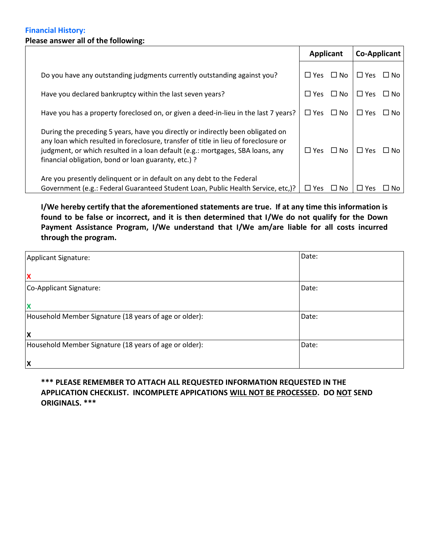### **Financial History: Please answer all of the following:**

|                                                                                                                                                                                                                                                                                                                  | Applicant     |           | <b>Co-Applicant</b> |      |
|------------------------------------------------------------------------------------------------------------------------------------------------------------------------------------------------------------------------------------------------------------------------------------------------------------------|---------------|-----------|---------------------|------|
| Do you have any outstanding judgments currently outstanding against you?                                                                                                                                                                                                                                         | $\Box$ Yes    | $\Box$ No | $\Box$ Yes          | ∐ No |
| Have you declared bankruptcy within the last seven years?                                                                                                                                                                                                                                                        | $\square$ Yes | $\Box$ No | $\Box$ Yes          | □ No |
| Have you has a property foreclosed on, or given a deed-in-lieu in the last 7 years?                                                                                                                                                                                                                              | $\Box$ Yes    | $\Box$ No | $\Box$ Yes          | ∩ No |
| During the preceding 5 years, have you directly or indirectly been obligated on<br>any loan which resulted in foreclosure, transfer of title in lieu of foreclosure or<br>judgment, or which resulted in a loan default (e.g.: mortgages, SBA loans, any<br>financial obligation, bond or loan guaranty, etc.) ? | $\Box$ Yes    | $\Box$ No | $\square$ Yes       | ∐ No |
| Are you presently delinguent or in default on any debt to the Federal<br>Government (e.g.: Federal Guaranteed Student Loan, Public Health Service, etc.)?                                                                                                                                                        | $\square$ Yes | $\Box$ No | $\Box$ Yes          | ⊔ No |

**I/We hereby certify that the aforementioned statements are true. If at any time this information is found to be false or incorrect, and it is then determined that I/We do not qualify for the Down Payment Assistance Program, I/We understand that I/We am/are liable for all costs incurred through the program.**

| Applicant Signature:                                   | Date: |
|--------------------------------------------------------|-------|
| X                                                      |       |
| Co-Applicant Signature:                                | Date: |
| $\boldsymbol{\mathsf{x}}$                              |       |
| Household Member Signature (18 years of age or older): | Date: |
| $\boldsymbol{\mathsf{x}}$                              |       |
| Household Member Signature (18 years of age or older): | Date: |
| X                                                      |       |

# **\*\*\* PLEASE REMEMBER TO ATTACH ALL REQUESTED INFORMATION REQUESTED IN THE APPLICATION CHECKLIST. INCOMPLETE APPICATIONS WILL NOT BE PROCESSED. DO NOT SEND ORIGINALS. \*\*\***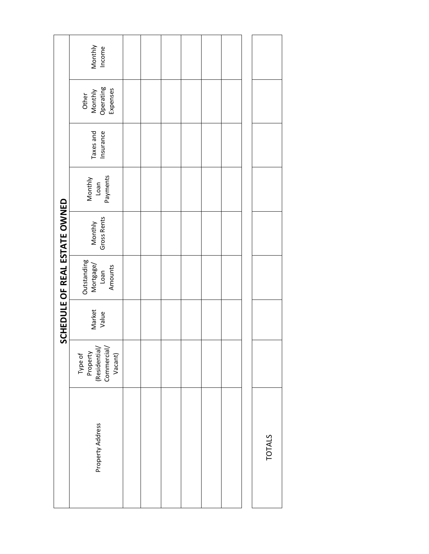|                               | Monthly<br>Income                                              |  |  |  |               |
|-------------------------------|----------------------------------------------------------------|--|--|--|---------------|
|                               | Operating<br>Expenses<br>Monthly<br>Other                      |  |  |  |               |
|                               | Taxes and<br>Insurance                                         |  |  |  |               |
|                               | Payments<br>Monthly<br>Loan                                    |  |  |  |               |
|                               | Gross Rents<br>Monthly                                         |  |  |  |               |
| SCHEDULE OF REAL ESTATE OWNED | Outstanding<br>Mortgage/<br>Amounts<br>Loan                    |  |  |  |               |
|                               | Market<br>Value                                                |  |  |  |               |
|                               | Type of<br>Property<br>(Residential/<br>Commercial/<br>Vacant) |  |  |  |               |
|                               | Property Address                                               |  |  |  | <b>TOTALS</b> |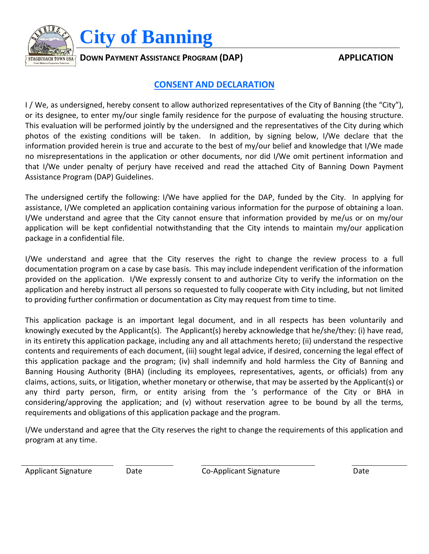

 $\frac{B}{A}$ *D***OWN PAYMENT ASSISTANCE PROGRAM (DAP) APPLICATION** 

# **CONSENT AND DECLARATION**

I / We, as undersigned, hereby consent to allow authorized representatives of the City of Banning (the "City"), or its designee, to enter my/our single family residence for the purpose of evaluating the housing structure. This evaluation will be performed jointly by the undersigned and the representatives of the City during which photos of the existing conditions will be taken. In addition, by signing below, I/We declare that the information provided herein is true and accurate to the best of my/our belief and knowledge that I/We made no misrepresentations in the application or other documents, nor did I/We omit pertinent information and that I/We under penalty of perjury have received and read the attached City of Banning Down Payment Assistance Program (DAP) Guidelines.

The undersigned certify the following: I/We have applied for the DAP, funded by the City. In applying for assistance, I/We completed an application containing various information for the purpose of obtaining a loan. I/We understand and agree that the City cannot ensure that information provided by me/us or on my/our application will be kept confidential notwithstanding that the City intends to maintain my/our application package in a confidential file.

I/We understand and agree that the City reserves the right to change the review process to a full documentation program on a case by case basis. This may include independent verification of the information provided on the application. I/We expressly consent to and authorize City to verify the information on the application and hereby instruct all persons so requested to fully cooperate with City including, but not limited to providing further confirmation or documentation as City may request from time to time.

This application package is an important legal document, and in all respects has been voluntarily and knowingly executed by the Applicant(s). The Applicant(s) hereby acknowledge that he/she/they: (i) have read, in its entirety this application package, including any and all attachments hereto; (ii) understand the respective contents and requirements of each document, (iii) sought legal advice, if desired, concerning the legal effect of this application package and the program; (iv) shall indemnify and hold harmless the City of Banning and Banning Housing Authority (BHA) (including its employees, representatives, agents, or officials) from any claims, actions, suits, or litigation, whether monetary or otherwise, that may be asserted by the Applicant(s) or any third party person, firm, or entity arising from the 's performance of the City or BHA in considering/approving the application; and (v) without reservation agree to be bound by all the terms, requirements and obligations of this application package and the program.

I/We understand and agree that the City reserves the right to change the requirements of this application and program at any time.

Applicant Signature **Date** Date Co-Applicant Signature Date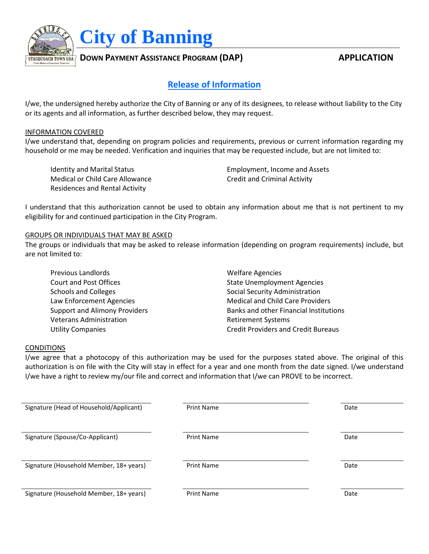

# **Release of Information**

I/we, the undersigned hereby authorize the City of Banning or any of its designees, to release without liability to the City or its agents and all information, as further described below, they may request.

### INFORMATION COVERED

I/we understand that, depending on program policies and requirements, previous or current information regarding my household or me may be needed. Verification and inquiries that may be requested include, but are not limited to:

Medical or Child Care Allowance Credit and Criminal Activity Residences and Rental Activity

Identity and Marital Status **Employment, Income and Assets** 

I understand that this authorization cannot be used to obtain any information about me that is not pertinent to my eligibility for and continued participation in the City Program.

### GROUPS OR INDIVIDUALS THAT MAY BE ASKED

The groups or individuals that may be asked to release information (depending on program requirements) include, but are not limited to:

| Previous Landlords                   | <b>Welfare Agencies</b>                    |
|--------------------------------------|--------------------------------------------|
| <b>Court and Post Offices</b>        | <b>State Unemployment Agencies</b>         |
| <b>Schools and Colleges</b>          | Social Security Administration             |
| Law Enforcement Agencies             | <b>Medical and Child Care Providers</b>    |
| <b>Support and Alimony Providers</b> | Banks and other Financial Institutions     |
| <b>Veterans Administration</b>       | <b>Retirement Systems</b>                  |
| <b>Utility Companies</b>             | <b>Credit Providers and Credit Bureaus</b> |

### CONDITIONS

I/we agree that a photocopy of this authorization may be used for the purposes stated above. The original of this authorization is on file with the City will stay in effect for a year and one month from the date signed. I/we understand I/we have a right to review my/our file and correct and information that I/we can PROVE to be incorrect.

| Signature (Head of Household/Applicant) | <b>Print Name</b> | Date |
|-----------------------------------------|-------------------|------|
| Signature (Spouse/Co-Applicant)         | <b>Print Name</b> | Date |
| Signature (Household Member, 18+ years) | <b>Print Name</b> | Date |
| Signature (Household Member, 18+ years) | <b>Print Name</b> | Date |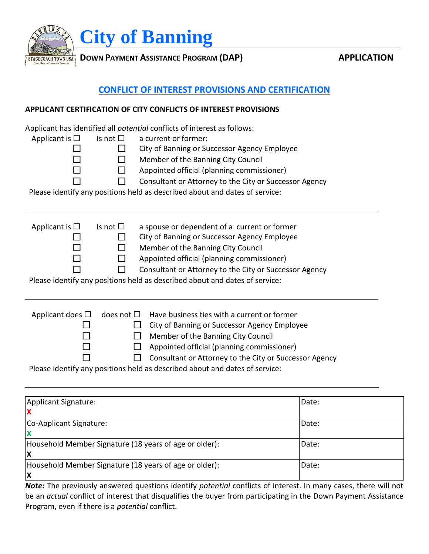

**BTAGECOACH TOWN USA DOWN PAYMENT ASSISTANCE PROGRAM (DAP) BIACK CONVERGED APPLICATION** 

# **CONFLICT OF INTEREST PROVISIONS AND CERTIFICATION**

## **APPLICANT CERTIFICATION OF CITY CONFLICTS OF INTEREST PROVISIONS**

Applicant has identified all *potential* conflicts of interest as follows:

| Applicant is $\Box$      | Is not $\square$   | a current or former:<br>City of Banning or Successor Agency Employee<br>Member of the Banning City Council<br>Appointed official (planning commissioner)<br>Consultant or Attorney to the City or Successor Agency<br>Please identify any positions held as described about and dates of service:                         |
|--------------------------|--------------------|---------------------------------------------------------------------------------------------------------------------------------------------------------------------------------------------------------------------------------------------------------------------------------------------------------------------------|
| Applicant is $\Box$      | Is not $\Box$      | a spouse or dependent of a current or former<br>City of Banning or Successor Agency Employee<br>Member of the Banning City Council<br>Appointed official (planning commissioner)<br>Consultant or Attorney to the City or Successor Agency<br>Please identify any positions held as described about and dates of service: |
| Applicant does $\square$ | does not $\square$ | Have business ties with a current or former<br>City of Banning or Successor Agency Employee<br>Member of the Banning City Council<br>Appointed official (planning commissioner)<br>Consultant or Attorney to the City or Successor Agency<br>Please identify any positions held as described about and dates of service:  |

| Applicant Signature:                                         | Date: |
|--------------------------------------------------------------|-------|
| Co-Applicant Signature:                                      | Date: |
| Household Member Signature (18 years of age or older):<br>ΙX | Date: |
| Household Member Signature (18 years of age or older):<br>ΙX | Date: |

*Note:* The previously answered questions identify *potential* conflicts of interest. In many cases, there will not be an *actual* conflict of interest that disqualifies the buyer from participating in the Down Payment Assistance Program, even if there is a *potential* conflict.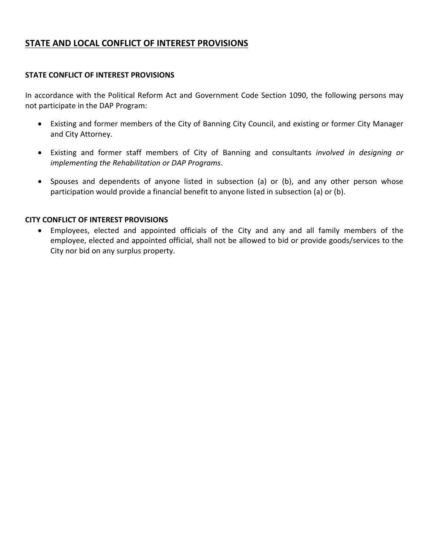# **STATE AND LOCAL CONFLICT OF INTEREST PROVISIONS**

## **STATE CONFLICT OF INTEREST PROVISIONS**

In accordance with the Political Reform Act and Government Code Section 1090, the following persons may not participate in the DAP Program:

- Existing and former members of the City of Banning City Council, and existing or former City Manager and City Attorney.
- Existing and former staff members of City of Banning and consultants *involved in designing or implementing the Rehabilitation or DAP Programs*.
- Spouses and dependents of anyone listed in subsection (a) or (b), and any other person whose participation would provide a financial benefit to anyone listed in subsection (a) or (b).

### **CITY CONFLICT OF INTEREST PROVISIONS**

 Employees, elected and appointed officials of the City and any and all family members of the employee, elected and appointed official, shall not be allowed to bid or provide goods/services to the City nor bid on any surplus property.